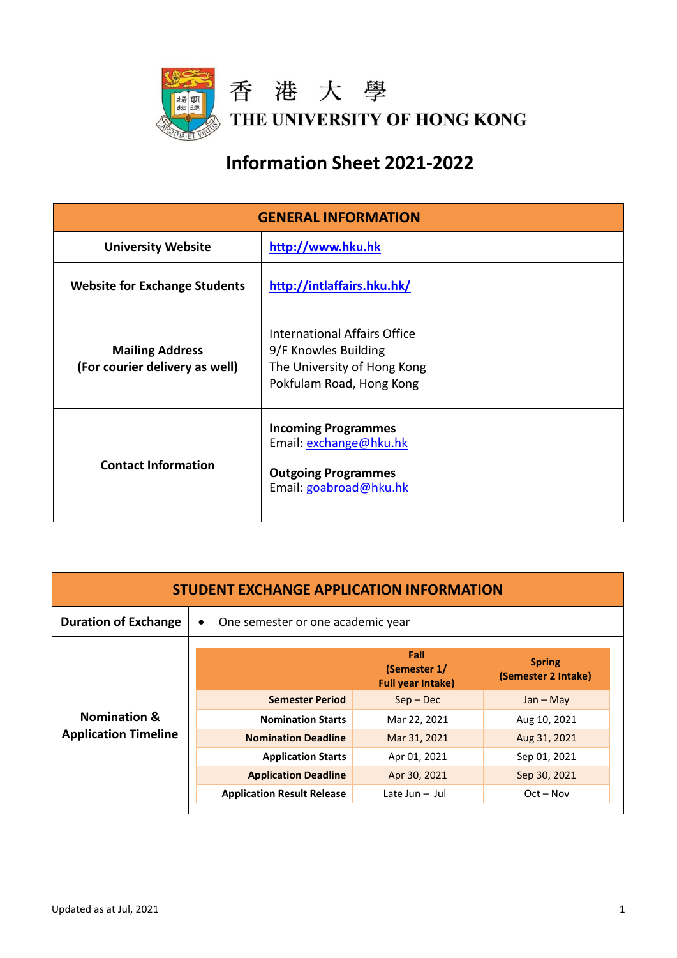

## **Information Sheet 2021-2022**

| <b>GENERAL INFORMATION</b>                               |                                                                                                                 |  |
|----------------------------------------------------------|-----------------------------------------------------------------------------------------------------------------|--|
| <b>University Website</b>                                | http://www.hku.hk                                                                                               |  |
| <b>Website for Exchange Students</b>                     | http://intlaffairs.hku.hk/                                                                                      |  |
| <b>Mailing Address</b><br>(For courier delivery as well) | International Affairs Office<br>9/F Knowles Building<br>The University of Hong Kong<br>Pokfulam Road, Hong Kong |  |
| <b>Contact Information</b>                               | <b>Incoming Programmes</b><br>Email: exchange@hku.hk<br><b>Outgoing Programmes</b><br>Email: goabroad@hku.hk    |  |

| <b>STUDENT EXCHANGE APPLICATION INFORMATION</b>        |                                                |                                                  |                                      |
|--------------------------------------------------------|------------------------------------------------|--------------------------------------------------|--------------------------------------|
| <b>Duration of Exchange</b>                            | One semester or one academic year<br>$\bullet$ |                                                  |                                      |
| <b>Nomination &amp;</b><br><b>Application Timeline</b> |                                                | Fall<br>(Semester 1/<br><b>Full year Intake)</b> | <b>Spring</b><br>(Semester 2 Intake) |
|                                                        | <b>Semester Period</b>                         | $Sep - Dec$                                      | $Jan - May$                          |
|                                                        | <b>Nomination Starts</b>                       | Mar 22, 2021                                     | Aug 10, 2021                         |
|                                                        | <b>Nomination Deadline</b>                     | Mar 31, 2021                                     | Aug 31, 2021                         |
|                                                        | <b>Application Starts</b>                      | Apr 01, 2021                                     | Sep 01, 2021                         |
|                                                        | <b>Application Deadline</b>                    | Apr 30, 2021                                     | Sep 30, 2021                         |
|                                                        | <b>Application Result Release</b>              | Late Jun $-$ Jul                                 | $Oct - Nov$                          |
|                                                        |                                                |                                                  |                                      |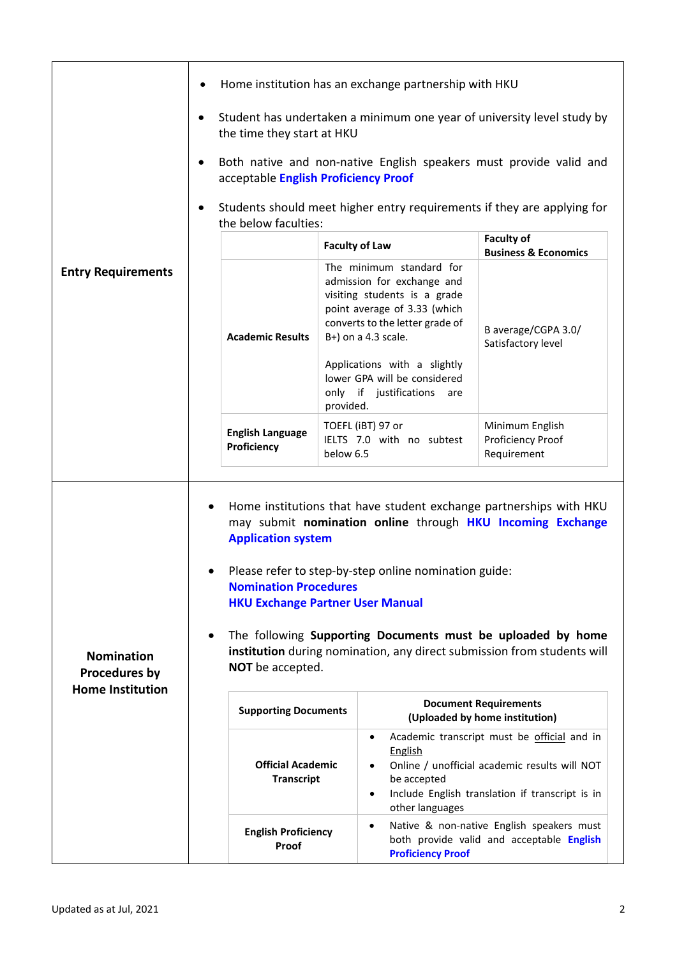|                                                               | Home institution has an exchange partnership with HKU                                                                                                                                                                                                                                                                                                                                                                                                                                     |                                                                                                                                                                                  |                                                                                                                                                 |
|---------------------------------------------------------------|-------------------------------------------------------------------------------------------------------------------------------------------------------------------------------------------------------------------------------------------------------------------------------------------------------------------------------------------------------------------------------------------------------------------------------------------------------------------------------------------|----------------------------------------------------------------------------------------------------------------------------------------------------------------------------------|-------------------------------------------------------------------------------------------------------------------------------------------------|
|                                                               | Student has undertaken a minimum one year of university level study by<br>$\bullet$<br>the time they start at HKU                                                                                                                                                                                                                                                                                                                                                                         |                                                                                                                                                                                  |                                                                                                                                                 |
|                                                               | Both native and non-native English speakers must provide valid and<br>$\bullet$<br>acceptable English Proficiency Proof                                                                                                                                                                                                                                                                                                                                                                   |                                                                                                                                                                                  |                                                                                                                                                 |
|                                                               | Students should meet higher entry requirements if they are applying for<br>the below faculties:                                                                                                                                                                                                                                                                                                                                                                                           |                                                                                                                                                                                  |                                                                                                                                                 |
|                                                               |                                                                                                                                                                                                                                                                                                                                                                                                                                                                                           | <b>Faculty of Law</b>                                                                                                                                                            | <b>Faculty of</b><br><b>Business &amp; Economics</b>                                                                                            |
| <b>Entry Requirements</b>                                     | <b>Academic Results</b>                                                                                                                                                                                                                                                                                                                                                                                                                                                                   | The minimum standard for<br>admission for exchange and<br>visiting students is a grade<br>point average of 3.33 (which<br>converts to the letter grade of<br>B+) on a 4.3 scale. | B average/CGPA 3.0/<br>Satisfactory level                                                                                                       |
|                                                               |                                                                                                                                                                                                                                                                                                                                                                                                                                                                                           | Applications with a slightly<br>lower GPA will be considered<br>only if justifications<br>are<br>provided.                                                                       |                                                                                                                                                 |
|                                                               | <b>English Language</b><br>Proficiency                                                                                                                                                                                                                                                                                                                                                                                                                                                    | TOEFL (iBT) 97 or<br>IELTS 7.0 with no subtest<br>below 6.5                                                                                                                      | Minimum English<br>Proficiency Proof<br>Requirement                                                                                             |
| <b>Nomination</b><br>Procedures by<br><b>Home Institution</b> | Home institutions that have student exchange partnerships with HKU<br>$\bullet$<br>may submit nomination online through HKU Incoming Exchange<br><b>Application system</b><br>Please refer to step-by-step online nomination guide:<br><b>Nomination Procedures</b><br><b>HKU Exchange Partner User Manual</b><br>The following Supporting Documents must be uploaded by home<br>$\bullet$<br>institution during nomination, any direct submission from students will<br>NOT be accepted. |                                                                                                                                                                                  |                                                                                                                                                 |
|                                                               | <b>Supporting Documents</b>                                                                                                                                                                                                                                                                                                                                                                                                                                                               |                                                                                                                                                                                  | <b>Document Requirements</b><br>(Uploaded by home institution)                                                                                  |
|                                                               | <b>Official Academic</b><br><b>Transcript</b>                                                                                                                                                                                                                                                                                                                                                                                                                                             | $\bullet$<br><b>English</b><br>$\bullet$<br>be accepted<br>$\bullet$<br>other languages                                                                                          | Academic transcript must be official and in<br>Online / unofficial academic results will NOT<br>Include English translation if transcript is in |
|                                                               | <b>English Proficiency</b><br>Proof                                                                                                                                                                                                                                                                                                                                                                                                                                                       | $\bullet$<br><b>Proficiency Proof</b>                                                                                                                                            | Native & non-native English speakers must<br>both provide valid and acceptable English                                                          |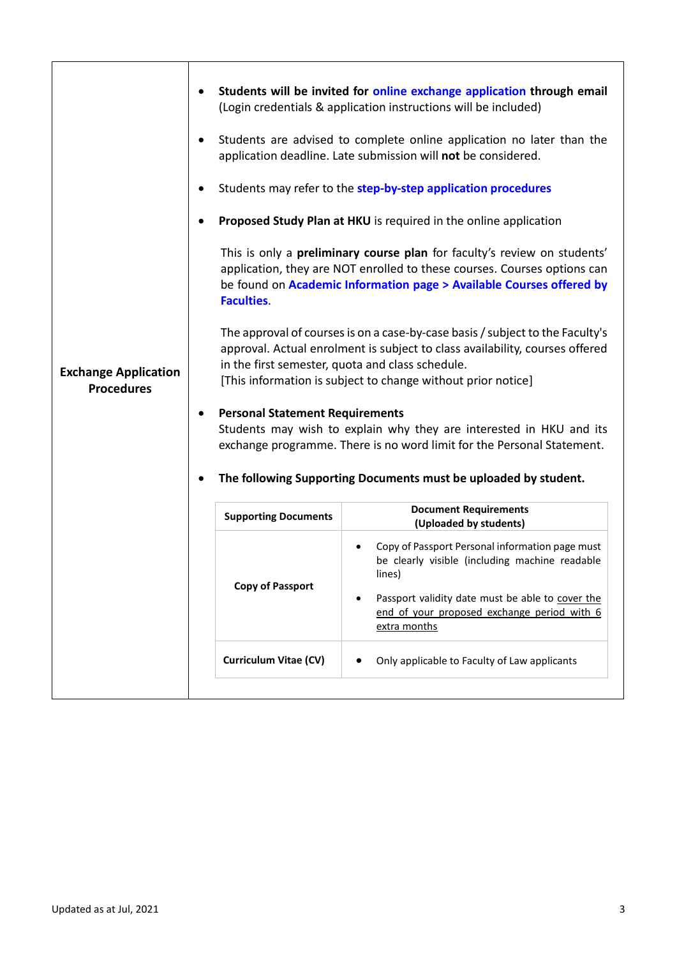| <b>Exchange Application</b><br><b>Procedures</b> |                                                             | Students will be invited for online exchange application through email<br>(Login credentials & application instructions will be included)<br>Students are advised to complete online application no later than the<br>application deadline. Late submission will not be considered.<br>Students may refer to the step-by-step application procedures<br>Proposed Study Plan at HKU is required in the online application<br>This is only a <b>preliminary course plan</b> for faculty's review on students'                                                                                                                                               |
|--------------------------------------------------|-------------------------------------------------------------|-----------------------------------------------------------------------------------------------------------------------------------------------------------------------------------------------------------------------------------------------------------------------------------------------------------------------------------------------------------------------------------------------------------------------------------------------------------------------------------------------------------------------------------------------------------------------------------------------------------------------------------------------------------|
|                                                  | <b>Faculties.</b><br><b>Personal Statement Requirements</b> | application, they are NOT enrolled to these courses. Courses options can<br>be found on Academic Information page > Available Courses offered by<br>The approval of courses is on a case-by-case basis / subject to the Faculty's<br>approval. Actual enrolment is subject to class availability, courses offered<br>in the first semester, quota and class schedule.<br>[This information is subject to change without prior notice]<br>Students may wish to explain why they are interested in HKU and its<br>exchange programme. There is no word limit for the Personal Statement.<br>The following Supporting Documents must be uploaded by student. |
|                                                  | <b>Supporting Documents</b>                                 | <b>Document Requirements</b><br>(Uploaded by students)                                                                                                                                                                                                                                                                                                                                                                                                                                                                                                                                                                                                    |
|                                                  | <b>Copy of Passport</b>                                     | Copy of Passport Personal information page must<br>be clearly visible (including machine readable<br>lines)<br>Passport validity date must be able to cover the<br>$\bullet$<br>end of your proposed exchange period with 6<br>extra months                                                                                                                                                                                                                                                                                                                                                                                                               |
|                                                  | <b>Curriculum Vitae (CV)</b>                                | Only applicable to Faculty of Law applicants<br>$\bullet$                                                                                                                                                                                                                                                                                                                                                                                                                                                                                                                                                                                                 |
|                                                  |                                                             |                                                                                                                                                                                                                                                                                                                                                                                                                                                                                                                                                                                                                                                           |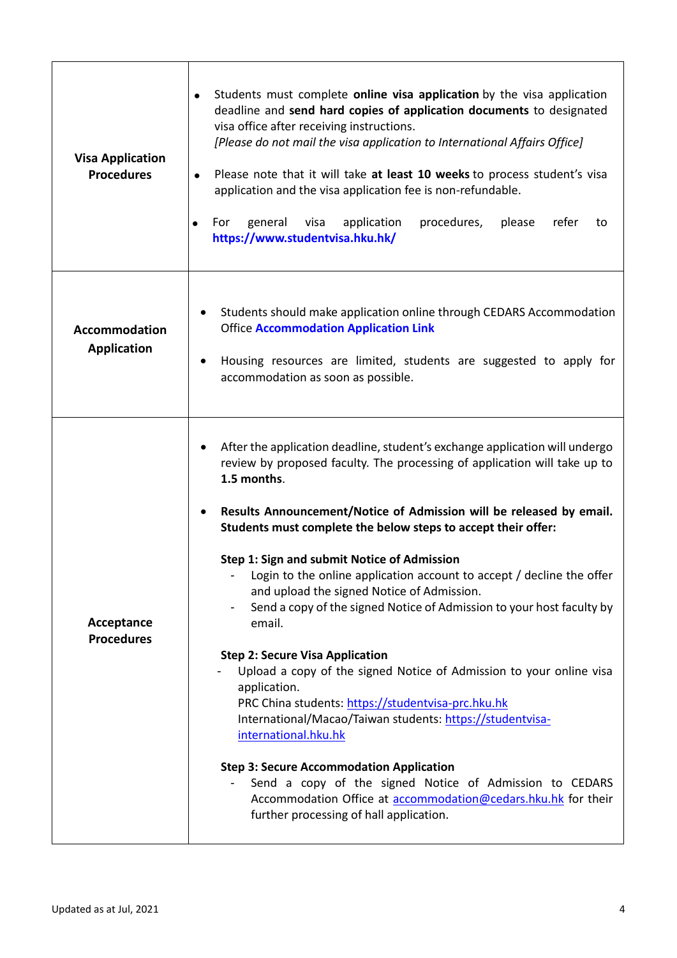| <b>Visa Application</b><br><b>Procedures</b> | Students must complete online visa application by the visa application<br>$\bullet$<br>deadline and send hard copies of application documents to designated<br>visa office after receiving instructions.<br>[Please do not mail the visa application to International Affairs Office]<br>Please note that it will take at least 10 weeks to process student's visa<br>$\bullet$<br>application and the visa application fee is non-refundable.<br>general<br>application<br>procedures,<br>please<br>refer<br>For<br>visa<br>to<br>https://www.studentvisa.hku.hk/                                                                                                                                                                                                                                                                                                                                                                                                                                                                                                                                             |
|----------------------------------------------|----------------------------------------------------------------------------------------------------------------------------------------------------------------------------------------------------------------------------------------------------------------------------------------------------------------------------------------------------------------------------------------------------------------------------------------------------------------------------------------------------------------------------------------------------------------------------------------------------------------------------------------------------------------------------------------------------------------------------------------------------------------------------------------------------------------------------------------------------------------------------------------------------------------------------------------------------------------------------------------------------------------------------------------------------------------------------------------------------------------|
| <b>Accommodation</b><br><b>Application</b>   | Students should make application online through CEDARS Accommodation<br><b>Office Accommodation Application Link</b><br>Housing resources are limited, students are suggested to apply for<br>accommodation as soon as possible.                                                                                                                                                                                                                                                                                                                                                                                                                                                                                                                                                                                                                                                                                                                                                                                                                                                                               |
| Acceptance<br><b>Procedures</b>              | After the application deadline, student's exchange application will undergo<br>review by proposed faculty. The processing of application will take up to<br>1.5 months.<br>Results Announcement/Notice of Admission will be released by email.<br>Students must complete the below steps to accept their offer:<br>Step 1: Sign and submit Notice of Admission<br>Login to the online application account to accept / decline the offer<br>and upload the signed Notice of Admission.<br>Send a copy of the signed Notice of Admission to your host faculty by<br>$\qquad \qquad \blacksquare$<br>email.<br><b>Step 2: Secure Visa Application</b><br>Upload a copy of the signed Notice of Admission to your online visa<br>application.<br>PRC China students: https://studentvisa-prc.hku.hk<br>International/Macao/Taiwan students: https://studentvisa-<br>international.hku.hk<br><b>Step 3: Secure Accommodation Application</b><br>Send a copy of the signed Notice of Admission to CEDARS<br>Accommodation Office at accommodation@cedars.hku.hk for their<br>further processing of hall application. |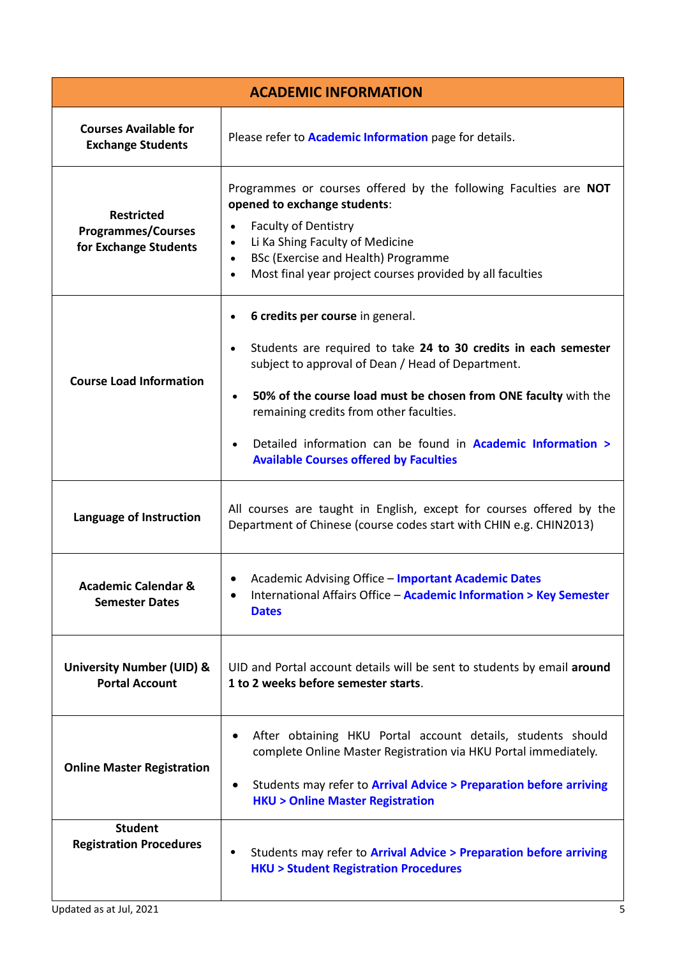| <b>ACADEMIC INFORMATION</b>                                             |                                                                                                                                                                                                                                                                                                                                                                                                                                         |  |
|-------------------------------------------------------------------------|-----------------------------------------------------------------------------------------------------------------------------------------------------------------------------------------------------------------------------------------------------------------------------------------------------------------------------------------------------------------------------------------------------------------------------------------|--|
| <b>Courses Available for</b><br><b>Exchange Students</b>                | Please refer to <b>Academic Information</b> page for details.                                                                                                                                                                                                                                                                                                                                                                           |  |
| <b>Restricted</b><br><b>Programmes/Courses</b><br>for Exchange Students | Programmes or courses offered by the following Faculties are NOT<br>opened to exchange students:<br><b>Faculty of Dentistry</b><br>Li Ka Shing Faculty of Medicine<br>BSc (Exercise and Health) Programme<br>$\bullet$<br>Most final year project courses provided by all faculties<br>$\bullet$                                                                                                                                        |  |
| <b>Course Load Information</b>                                          | 6 credits per course in general.<br>Students are required to take 24 to 30 credits in each semester<br>$\bullet$<br>subject to approval of Dean / Head of Department.<br>50% of the course load must be chosen from ONE faculty with the<br>$\bullet$<br>remaining credits from other faculties.<br>Detailed information can be found in <b>Academic Information &gt;</b><br>$\bullet$<br><b>Available Courses offered by Faculties</b> |  |
| Language of Instruction                                                 | All courses are taught in English, except for courses offered by the<br>Department of Chinese (course codes start with CHIN e.g. CHIN2013)                                                                                                                                                                                                                                                                                              |  |
| <b>Academic Calendar &amp;</b><br><b>Semester Dates</b>                 | • Academic Advising Office - Important Academic Dates<br>International Affairs Office - Academic Information > Key Semester<br><b>Dates</b>                                                                                                                                                                                                                                                                                             |  |
| <b>University Number (UID) &amp;</b><br><b>Portal Account</b>           | UID and Portal account details will be sent to students by email around<br>1 to 2 weeks before semester starts.                                                                                                                                                                                                                                                                                                                         |  |
| <b>Online Master Registration</b>                                       | After obtaining HKU Portal account details, students should<br>complete Online Master Registration via HKU Portal immediately.<br>Students may refer to Arrival Advice > Preparation before arriving<br>$\bullet$<br><b>HKU &gt; Online Master Registration</b>                                                                                                                                                                         |  |
| <b>Student</b><br><b>Registration Procedures</b>                        | Students may refer to Arrival Advice > Preparation before arriving<br><b>HKU &gt; Student Registration Procedures</b>                                                                                                                                                                                                                                                                                                                   |  |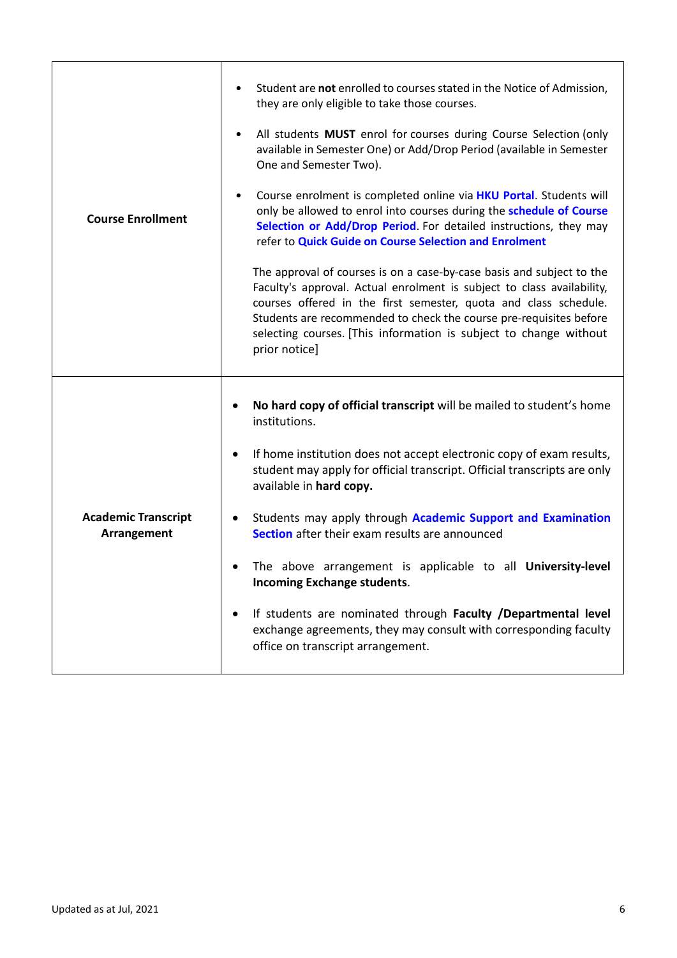| <b>Course Enrollment</b>                  | Student are not enrolled to courses stated in the Notice of Admission,<br>they are only eligible to take those courses.<br>All students MUST enrol for courses during Course Selection (only<br>$\bullet$<br>available in Semester One) or Add/Drop Period (available in Semester<br>One and Semester Two).<br>Course enrolment is completed online via <b>HKU Portal</b> . Students will<br>$\bullet$<br>only be allowed to enrol into courses during the schedule of Course<br>Selection or Add/Drop Period. For detailed instructions, they may<br>refer to Quick Guide on Course Selection and Enrolment<br>The approval of courses is on a case-by-case basis and subject to the<br>Faculty's approval. Actual enrolment is subject to class availability,<br>courses offered in the first semester, quota and class schedule.<br>Students are recommended to check the course pre-requisites before<br>selecting courses. [This information is subject to change without<br>prior notice] |
|-------------------------------------------|-------------------------------------------------------------------------------------------------------------------------------------------------------------------------------------------------------------------------------------------------------------------------------------------------------------------------------------------------------------------------------------------------------------------------------------------------------------------------------------------------------------------------------------------------------------------------------------------------------------------------------------------------------------------------------------------------------------------------------------------------------------------------------------------------------------------------------------------------------------------------------------------------------------------------------------------------------------------------------------------------|
| <b>Academic Transcript</b><br>Arrangement | No hard copy of official transcript will be mailed to student's home<br>institutions.<br>If home institution does not accept electronic copy of exam results,<br>$\bullet$<br>student may apply for official transcript. Official transcripts are only<br>available in hard copy.<br>Students may apply through Academic Support and Examination<br>$\bullet$<br>Section after their exam results are announced<br>The above arrangement is applicable to all University-level<br>$\bullet$<br><b>Incoming Exchange students.</b><br>If students are nominated through Faculty /Departmental level<br>exchange agreements, they may consult with corresponding faculty<br>office on transcript arrangement.                                                                                                                                                                                                                                                                                     |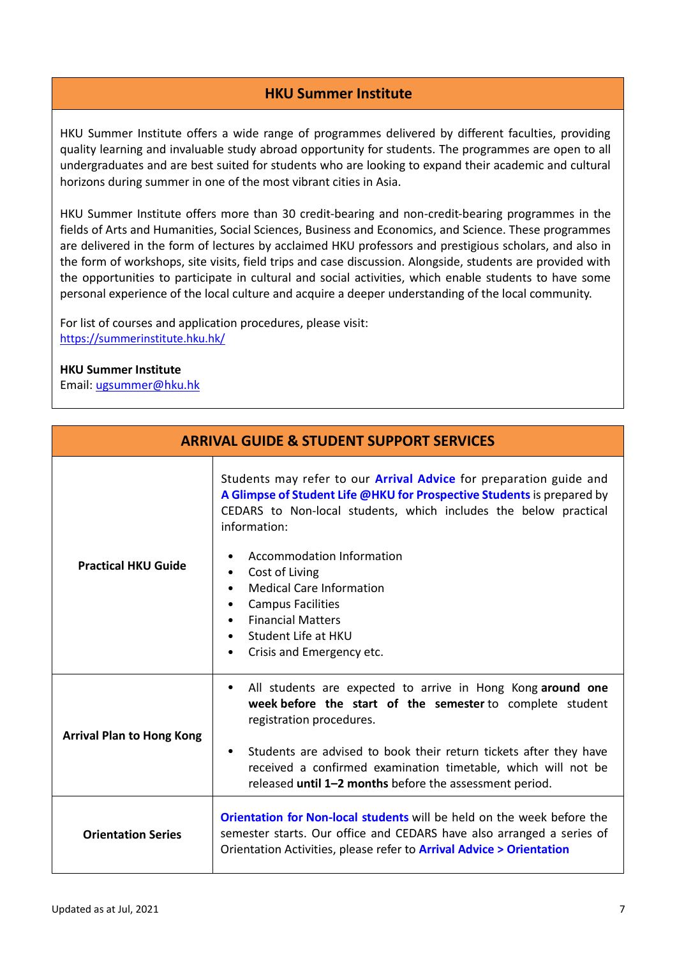## **HKU Summer Institute**

HKU Summer Institute offers a wide range of programmes delivered by different faculties, providing quality learning and invaluable study abroad opportunity for students. The programmes are open to all undergraduates and are best suited for students who are looking to expand their academic and cultural horizons during summer in one of the most vibrant cities in Asia.

HKU Summer Institute offers more than 30 credit-bearing and non-credit-bearing programmes in the fields of Arts and Humanities, Social Sciences, Business and Economics, and Science. These programmes are delivered in the form of lectures by acclaimed HKU professors and prestigious scholars, and also in the form of workshops, site visits, field trips and case discussion. Alongside, students are provided with the opportunities to participate in cultural and social activities, which enable students to have some personal experience of the local culture and acquire a deeper understanding of the local community.

For list of courses and application procedures, please visit: <https://summerinstitute.hku.hk/>

## **HKU Summer Institute**

Email: [ugsummer@hku.hk](mailto:ugsummer@hku.hk)

| <b>ARRIVAL GUIDE &amp; STUDENT SUPPORT SERVICES</b> |                                                                                                                                                                                                                                                                                                                                                                                                                                                                                                  |  |
|-----------------------------------------------------|--------------------------------------------------------------------------------------------------------------------------------------------------------------------------------------------------------------------------------------------------------------------------------------------------------------------------------------------------------------------------------------------------------------------------------------------------------------------------------------------------|--|
| <b>Practical HKU Guide</b>                          | Students may refer to our <b>Arrival Advice</b> for preparation guide and<br>A Glimpse of Student Life @HKU for Prospective Students is prepared by<br>CEDARS to Non-local students, which includes the below practical<br>information:<br>Accommodation Information<br>٠<br>Cost of Living<br>٠<br><b>Medical Care Information</b><br>$\bullet$<br><b>Campus Facilities</b><br>٠<br><b>Financial Matters</b><br>$\bullet$<br>Student Life at HKU<br>$\bullet$<br>Crisis and Emergency etc.<br>٠ |  |
| <b>Arrival Plan to Hong Kong</b>                    | All students are expected to arrive in Hong Kong around one<br>$\bullet$<br>week before the start of the semester to complete student<br>registration procedures.<br>Students are advised to book their return tickets after they have<br>$\bullet$<br>received a confirmed examination timetable, which will not be<br>released until 1-2 months before the assessment period.                                                                                                                  |  |
| <b>Orientation Series</b>                           | <b>Orientation for Non-local students will be held on the week before the</b><br>semester starts. Our office and CEDARS have also arranged a series of<br>Orientation Activities, please refer to <b>Arrival Advice &gt; Orientation</b>                                                                                                                                                                                                                                                         |  |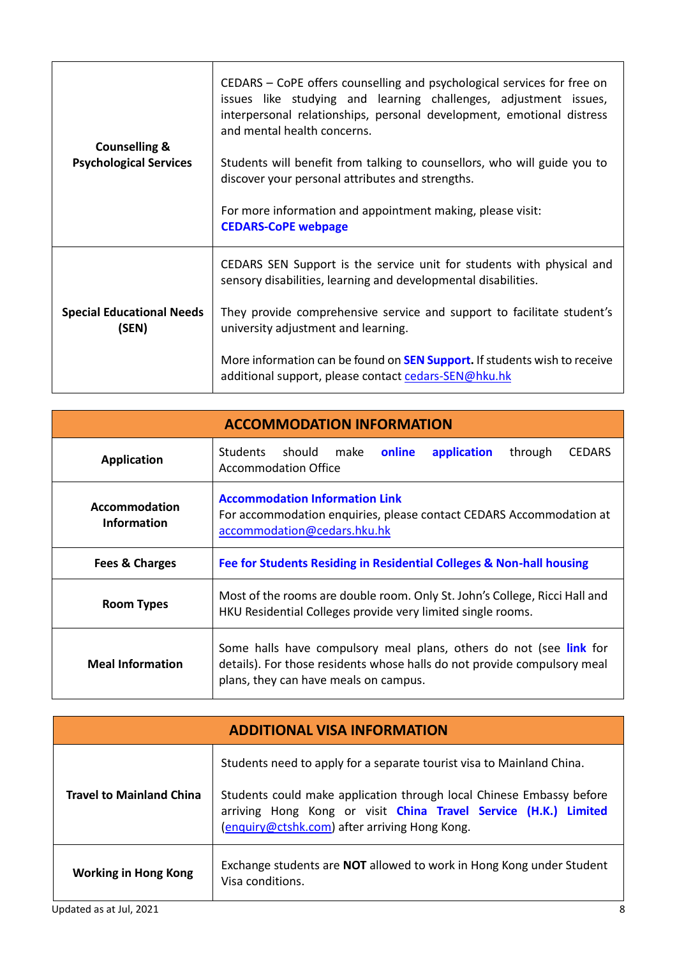| <b>Counselling &amp;</b><br><b>Psychological Services</b> | CEDARS – CoPE offers counselling and psychological services for free on<br>issues like studying and learning challenges, adjustment issues,<br>interpersonal relationships, personal development, emotional distress<br>and mental health concerns.<br>Students will benefit from talking to counsellors, who will guide you to<br>discover your personal attributes and strengths.<br>For more information and appointment making, please visit:<br><b>CEDARS-CoPE webpage</b> |
|-----------------------------------------------------------|---------------------------------------------------------------------------------------------------------------------------------------------------------------------------------------------------------------------------------------------------------------------------------------------------------------------------------------------------------------------------------------------------------------------------------------------------------------------------------|
| <b>Special Educational Needs</b><br>(SEN)                 | CEDARS SEN Support is the service unit for students with physical and<br>sensory disabilities, learning and developmental disabilities.                                                                                                                                                                                                                                                                                                                                         |
|                                                           | They provide comprehensive service and support to facilitate student's<br>university adjustment and learning.                                                                                                                                                                                                                                                                                                                                                                   |
|                                                           | More information can be found on <b>SEN Support.</b> If students wish to receive<br>additional support, please contact cedars-SEN@hku.hk                                                                                                                                                                                                                                                                                                                                        |

| <b>ACCOMMODATION INFORMATION</b>    |                                                                                                                                                                                         |  |
|-------------------------------------|-----------------------------------------------------------------------------------------------------------------------------------------------------------------------------------------|--|
| <b>Application</b>                  | Students should make<br>online<br>application<br>through<br><b>CEDARS</b><br><b>Accommodation Office</b>                                                                                |  |
| Accommodation<br><b>Information</b> | <b>Accommodation Information Link</b><br>For accommodation enquiries, please contact CEDARS Accommodation at<br>accommodation@cedars.hku.hk                                             |  |
| <b>Fees &amp; Charges</b>           | Fee for Students Residing in Residential Colleges & Non-hall housing                                                                                                                    |  |
| <b>Room Types</b>                   | Most of the rooms are double room. Only St. John's College, Ricci Hall and<br>HKU Residential Colleges provide very limited single rooms.                                               |  |
| <b>Meal Information</b>             | Some halls have compulsory meal plans, others do not (see link for<br>details). For those residents whose halls do not provide compulsory meal<br>plans, they can have meals on campus. |  |

| <b>ADDITIONAL VISA INFORMATION</b> |                                                                                                                                                                                          |  |
|------------------------------------|------------------------------------------------------------------------------------------------------------------------------------------------------------------------------------------|--|
| <b>Travel to Mainland China</b>    | Students need to apply for a separate tourist visa to Mainland China.                                                                                                                    |  |
|                                    | Students could make application through local Chinese Embassy before<br>arriving Hong Kong or visit China Travel Service (H.K.) Limited<br>(enquiry@ctshk.com) after arriving Hong Kong. |  |
| <b>Working in Hong Kong</b>        | Exchange students are <b>NOT</b> allowed to work in Hong Kong under Student<br>Visa conditions.                                                                                          |  |